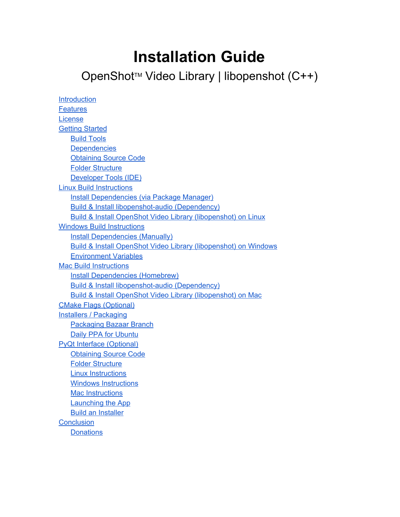# **Installation Guide**

## OpenShot™ Video Library | libopenshot (C++)

| Introduction                                                               |
|----------------------------------------------------------------------------|
| <b>Features</b>                                                            |
| License                                                                    |
| <b>Getting Started</b>                                                     |
| <b>Build Tools</b>                                                         |
| <b>Dependencies</b>                                                        |
| <b>Obtaining Source Code</b>                                               |
| <b>Folder Structure</b>                                                    |
| Developer Tools (IDE)                                                      |
| <b>Linux Build Instructions</b>                                            |
| Install Dependencies (via Package Manager)                                 |
| <b>Build &amp; Install libopenshot-audio (Dependency)</b>                  |
| Build & Install OpenShot Video Library (libopenshot) on Linux              |
| <b>Windows Build Instructions</b>                                          |
| <b>Install Dependencies (Manually)</b>                                     |
| <b>Build &amp; Install OpenShot Video Library (libopenshot) on Windows</b> |
| <b>Environment Variables</b>                                               |
| <b>Mac Build Instructions</b>                                              |
| <b>Install Dependencies (Homebrew)</b>                                     |
| <b>Build &amp; Install libopenshot-audio (Dependency)</b>                  |
| Build & Install OpenShot Video Library (libopenshot) on Mac                |
| <b>CMake Flags (Optional)</b>                                              |
| <b>Installers / Packaging</b>                                              |
| <b>Packaging Bazaar Branch</b>                                             |
| <b>Daily PPA for Ubuntu</b>                                                |
| <b>PyQt Interface (Optional)</b>                                           |
| <b>Obtaining Source Code</b>                                               |
| <b>Folder Structure</b>                                                    |
| <b>Linux Instructions</b>                                                  |
| <b>Windows Instructions</b>                                                |
| <b>Mac Instructions</b>                                                    |
| <b>Launching the App</b>                                                   |
| <b>Build an Installer</b>                                                  |
| <b>Conclusion</b>                                                          |
| <b>Donations</b>                                                           |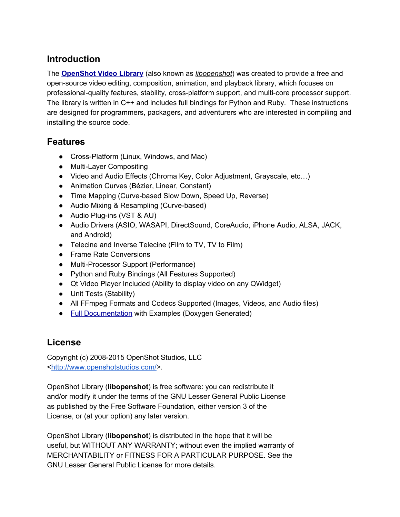## <span id="page-1-0"></span>**Introduction**

The **[OpenShot](http://www.openshot.org/) Video Library**(also known as *libopenshot*) was created to provide a free and opensource video editing, composition, animation, and playback library, which focuses on professional-quality features, stability, cross-platform support, and multi-core processor support. The library is written in C++ and includes full bindings for Python and Ruby. These instructions are designed for programmers, packagers, and adventurers who are interested in compiling and installing the source code.

## <span id="page-1-1"></span>**Features**

- Cross-Platform (Linux, Windows, and Mac)
- Multi-Layer Compositing
- Video and Audio Effects (Chroma Key, Color Adjustment, Grayscale, etc…)
- Animation Curves (Bézier, Linear, Constant)
- Time Mapping (Curve-based Slow Down, Speed Up, Reverse)
- Audio Mixing & Resampling (Curve-based)
- Audio Plug-ins (VST & AU)
- Audio Drivers (ASIO, WASAPI, DirectSound, CoreAudio, iPhone Audio, ALSA, JACK, and Android)
- Telecine and Inverse Telecine (Film to TV, TV to Film)
- Frame Rate Conversions
- Multi-Processor Support (Performance)
- Python and Ruby Bindings (All Features Supported)
- Qt Video Player Included (Ability to display video on any QWidget)
- Unit Tests (Stability)
- All FFmpeg Formats and Codecs Supported (Images, Videos, and Audio files)
- Full [Documentation](http://openshot.org/files/libopenshot/) with Examples (Doxygen Generated)

## <span id="page-1-2"></span>**License**

Copyright (c) 2008-2015 OpenShot Studios, LLC [<http://www.openshotstudios.com/>](http://www.openshotstudios.com/).

OpenShot Library (**libopenshot**)is free software: you can redistribute it and/or modify it under the terms of the GNU Lesser General Public License as published by the Free Software Foundation, either version 3 of the License, or (at your option) any later version.

OpenShot Library (**libopenshot**)is distributed in the hope that it will be useful, but WITHOUT ANY WARRANTY; without even the implied warranty of MERCHANTABILITY or FITNESS FOR A PARTICULAR PURPOSE. See the GNU Lesser General Public License for more details.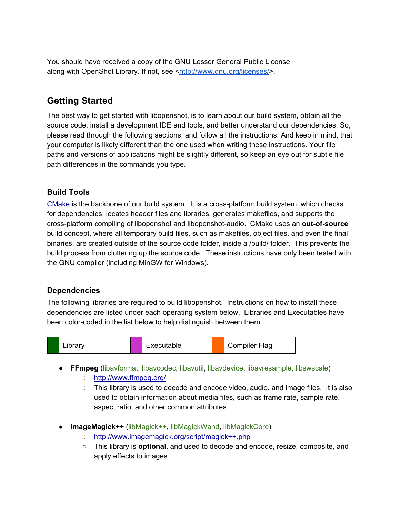You should have received a copy of the GNU Lesser General Public License along with OpenShot Library. If not, see <[http://www.gnu.org/licenses/>](http://www.gnu.org/licenses/).

## <span id="page-2-0"></span>**Getting Started**

The best way to get started with libopenshot, is to learn about our build system, obtain all the source code, install a development IDE and tools, and better understand our dependencies. So, please read through the following sections, and follow all the instructions. And keep in mind, that your computer is likely different than the one used when writing these instructions. Your file paths and versions of applications might be slightly different, so keep an eye out for subtle file path differences in the commands you type.

#### <span id="page-2-1"></span>**Build Tools**

[CMake](http://www.cmake.org/) is the backbone of our build system. It is a crossplatform build system, which checks for dependencies, locates header files and libraries, generates makefiles, and supports the cross-platform compiling of libopenshot and libopenshot-audio. CMake uses an **out-of-source** build concept, where all temporary build files, such as makefiles, object files, and even the final binaries, are created outside of the source code folder, inside a /build/ folder. This prevents the build process from cluttering up the source code. These instructions have only been tested with the GNU compiler (including MinGW for Windows).

#### <span id="page-2-2"></span>**Dependencies**

The following libraries are required to build libopenshot. Instructions on how to install these dependencies are listed under each operating system below. Libraries and Executables have been color-coded in the list below to help distinguish between them.



- **FFmpeg**(libavformat, libavcodec, libavutil, libavdevice, libavresample, libswscale)
	- <http://www.ffmpeg.org/>
	- This library is used to decode and encode video, audio, and image files. It is also used to obtain information about media files, such as frame rate, sample rate, aspect ratio, and other common attributes.
- **ImageMagick++**(libMagick++, libMagickWand, libMagickCore)
	- <http://www.imagemagick.org/script/magick++.php>
	- This library is **optional**, and used to decode and encode, resize, composite, and apply effects to images.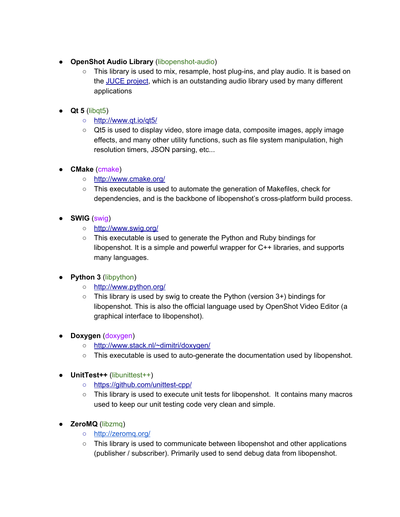- **OpenShot Audio Library** (libopenshot-audio)
	- This library is used to mix, resample, host plug-ins, and play audio. It is based on the JUCE [project](http://www.juce.com/), which is an outstanding audio library used by many different applications
- **Qt 5**(libqt5)
	- <http://www.qt.io/qt5/>
	- Qt5 is used to display video, store image data, composite images, apply image effects, and many other utility functions, such as file system manipulation, high resolution timers, JSON parsing, etc...
- **CMake**(cmake)
	- <http://www.cmake.org/>
	- This executable is used to automate the generation of Makefiles, check for dependencies, and is the backbone of libopenshot's cross-platform build process.
- **SWIG**(swig)
	- <http://www.swig.org/>
	- This executable is used to generate the Python and Ruby bindings for libopenshot. It is a simple and powerful wrapper for C++ libraries, and supports many languages.
- **Python 3** (libpython)
	- <http://www.python.org/>
	- This library is used by swig to create the Python (version 3+) bindings for libopenshot. This is also the official language used by OpenShot Video Editor (a graphical interface to libopenshot).
- **Doxygen**(doxygen)
	- <http://www.stack.nl/~dimitri/doxygen/>
	- This executable is used to auto-generate the documentation used by libopenshot.
- **UnitTest++**(libunittest++)
	- https://github.com/unittest-cpp/
	- This library is used to execute unit tests for libopenshot. It contains many macros used to keep our unit testing code very clean and simple.
- **ZeroMQ**(libzmq)
	- <http://zeromq.org/>
	- $\circ$  This library is used to communicate between libopenshot and other applications (publisher / subscriber). Primarily used to send debug data from libopenshot.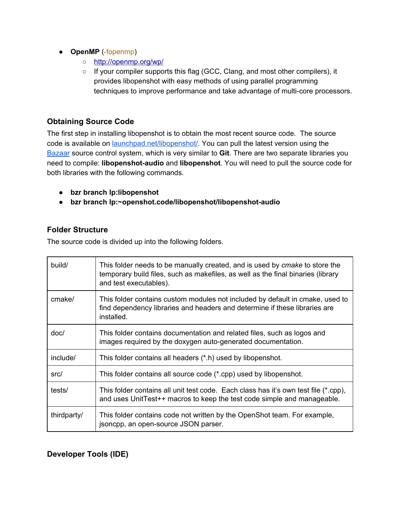- **OpenMP** (-fopenmp)
	- <http://openmp.org/wp/>
	- If your compiler supports this flag (GCC, Clang, and most other compilers), it provides libopenshot with easy methods of using parallel programming techniques to improve performance and take advantage of multi-core processors.

#### <span id="page-4-0"></span>**Obtaining Source Code**

The first step in installing libopenshot is to obtain the most recent source code. The source code is available on *launchpad.net/libopenshot/*. You can pull the latest version using the [Bazaar](http://bazaar.canonical.com/en/) source control system, which is very similar to **Git**. There are two separate libraries you need to compile: **libopenshot-audio** and **libopenshot**. You will need to pull the source code for both libraries with the following commands.

- **● bzr branch lp:libopenshot**
- **• bzr** branch lp:~openshot.code/libopenshot/libopenshot-audio

#### <span id="page-4-1"></span>**Folder Structure**

The source code is divided up into the following folders.

| build/      | This folder needs to be manually created, and is used by cmake to store the<br>temporary build files, such as makefiles, as well as the final binaries (library<br>and test executables). |
|-------------|-------------------------------------------------------------------------------------------------------------------------------------------------------------------------------------------|
| cmake/      | This folder contains custom modules not included by default in cmake, used to<br>find dependency libraries and headers and determine if these libraries are<br>installed.                 |
| doc/        | This folder contains documentation and related files, such as logos and<br>images required by the doxygen auto-generated documentation.                                                   |
| include/    | This folder contains all headers (*.h) used by libopenshot.                                                                                                                               |
| src/        | This folder contains all source code (*.cpp) used by libopenshot.                                                                                                                         |
| tests/      | This folder contains all unit test code. Each class has it's own test file (*.cpp),<br>and uses UnitTest++ macros to keep the test code simple and manageable.                            |
| thirdparty/ | This folder contains code not written by the OpenShot team. For example,<br>jsoncpp, an open-source JSON parser.                                                                          |

#### <span id="page-4-2"></span>**Developer Tools (IDE)**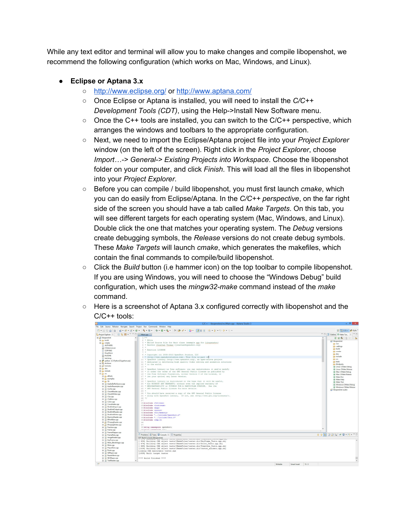While any text editor and terminal will allow you to make changes and compile libopenshot, we recommend the following configuration (which works on Mac, Windows, and Linux).

#### **● Eclipse or Aptana 3.x**

- <http://www.eclipse.org/> or <http://www.aptana.com/>
- Once Eclipse or Aptana is installed, you will need to install the *C/C++ Development Tools (CDT)*, using the Help>Install New Software menu.
- $\circ$  Once the C++ tools are installed, you can switch to the C/C++ perspective, which arranges the windows and toolbars to the appropriate configuration.
- Next, we need to import the Eclipse/Aptana project file into your *Project Explorer* window (on the left of the screen). Right click in the *Project Explorer*, choose *Import…> General> Existing Projects into Workspace*. Choose the libopenshot folder on your computer, and click *Finish*. This will load all the files in libopenshot into your *Project Explorer*.
- Before you can compile / build libopenshot, you must first launch *cmake*, which you can do easily from Eclipse/Aptana. In the *C/C++ perspective*, on the far right side of the screen you should have a tab called *Make Targets*. On this tab, you will see different targets for each operating system (Mac, Windows, and Linux). Double click the one that matches your operating system. The *Debug* versions create debugging symbols, the *Release* versions do not create debug symbols. These *Make Targets* will launch *cmake*, which generates the makefiles, which contain the final commands to compile/build libopenshot.
- Click the *Build* button (i.e hammer icon) on the top toolbar to compile libopenshot. If you are using Windows, you will need to choose the "Windows Debug" build configuration, which uses the *mingw32-make* command instead of the *make* command.
- $\circ$  Here is a screenshot of Aptana 3.x configured correctly with libopenshot and the C/C++ tools:

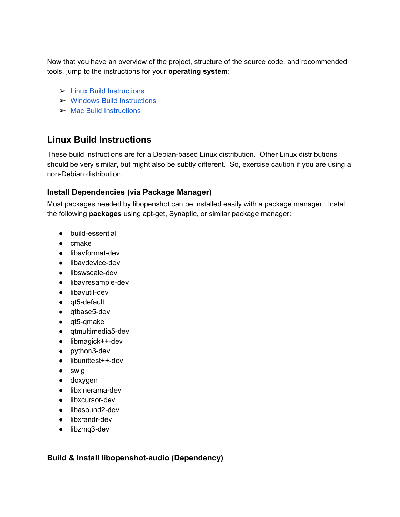Now that you have an overview of the project, structure of the source code, and recommended tools, jump to the instructions for your **operating system**:

- $\blacktriangleright$  Linux Build [Instructions](#page-6-0)
- ➢ Windows Build [Instructions](#page-8-0)
- $\triangleright$  Mac Build [Instructions](#page-16-0)

## <span id="page-6-0"></span>**Linux Build Instructions**

These build instructions are for a Debian-based Linux distribution. Other Linux distributions should be very similar, but might also be subtly different. So, exercise caution if you are using a non-Debian distribution.

#### <span id="page-6-1"></span>**Install Dependencies (via Package Manager)**

Most packages needed by libopenshot can be installed easily with a package manager. Install the following **packages** using apt-get, Synaptic, or similar package manager:

- build-essential
- cmake
- $\bullet$  libavformat-dev
- $\bullet$  libavdevice-dev
- libswscale-dev
- $\bullet$  libavresample-dev
- $\bullet$  libavutil-dev
- $\bullet$  qt5-default
- $\bullet$  qtbase5-dev
- $\bullet$  qt5-qmake
- qtmultimedia5-dev
- $\bullet$  libmagick++-dev
- $\bullet$  python3-dev
- libunittest++-dev
- swig
- doxygen
- $\bullet$  libxinerama-dev
- $\bullet$  libxcursor-dev
- $\bullet$  libasound2-dev
- $\bullet$  libxrandr-dev
- $\bullet$  libzmq3-dev

<span id="page-6-2"></span>**Build & Install libopenshot-audio (Dependency)**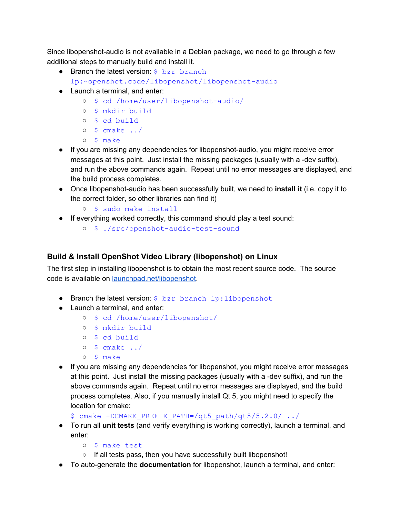Since libopenshot-audio is not available in a Debian package, we need to go through a few additional steps to manually build and install it.

- Branch the latest version:  $$$  bzr branch lp:~openshot.code/libopenshot/libopenshot-audio
- Launch a terminal, and enter:
	- o \$ cd /home/user/libopenshot-audio/
	- \$ mkdir build
	- \$ cd build
	- $\circ$  \$ cmake  $\cdot$ ./
	- \$ make
- If you are missing any dependencies for libopenshot-audio, you might receive error messages at this point. Just install the missing packages (usually with a -dev suffix), and run the above commands again. Repeat until no error messages are displayed, and the build process completes.
- Once libopenshot-audio has been successfully built, we need to **install it** (i.e. copy it to the correct folder, so other libraries can find it)
	- \$ sudo make install
- If everything worked correctly, this command should play a test sound:
	- o \$ ./src/openshot-audio-test-sound

#### <span id="page-7-0"></span>**Build & Install OpenShot Video Library (libopenshot) on Linux**

The first step in installing libopenshot is to obtain the most recent source code. The source code is available on [launchpad.net/libopenshot.](https://launchpad.net/libopenshot/)

- **●** Branch the latest version: \$ bzr branch lp:libopenshot
- Launch a terminal, and enter:
	- \$ cd /home/user/libopenshot/
	- \$ mkdir build
	- \$ cd build
	- $\circ$  \$ cmake ../
	- \$ make
- If you are missing any dependencies for libopenshot, you might receive error messages at this point. Just install the missing packages (usually with a -dev suffix), and run the above commands again. Repeat until no error messages are displayed, and the build process completes. Also, if you manually install Qt 5, you might need to specify the location for cmake:

```
$ cmake -DCMAKE PREFIX PATH=/qt5 path/qt5/5.2.0/ ../
```
- To run all **unit tests**(and verify everything is working correctly), launch a terminal, and enter:
	- \$ make test
	- If all tests pass, then you have successfully built libopenshot!
- To auto-generate the **documentation** for libopenshot, launch a terminal, and enter: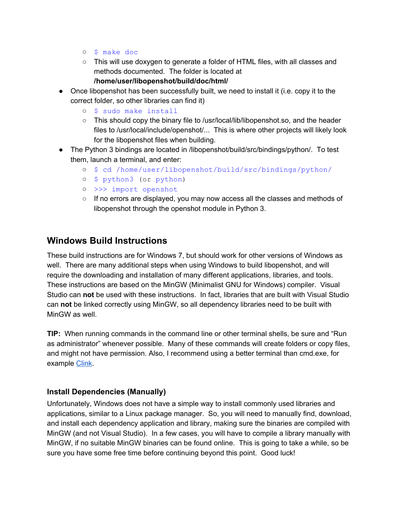- \$ make doc
- This will use doxygen to generate a folder of HTML files, with all classes and methods documented. The folder is located at **/home/user/libopenshot/build/doc/html/**
- Once libopenshot has been successfully built, we need to install it (i.e. copy it to the correct folder, so other libraries can find it)
	- \$ sudo make install
	- This should copy the binary file to /usr/local/lib/libopenshot.so, and the header files to /usr/local/include/openshot/... This is where other projects will likely look for the libopenshot files when building.
- The Python 3 bindings are located in /libopenshot/build/src/bindings/python/. To test them, launch a terminal, and enter:
	- \$ cd /home/user/libopenshot/build/src/bindings/python/
	- \$ python3 (or python)
	- >>> import openshot
	- $\circ$  If no errors are displayed, you may now access all the classes and methods of libopenshot through the openshot module in Python 3.

#### <span id="page-8-0"></span>**Windows Build Instructions**

These build instructions are for Windows 7, but should work for other versions of Windows as well. There are many additional steps when using Windows to build libopenshot, and will require the downloading and installation of many different applications, libraries, and tools. These instructions are based on the MinGW (Minimalist GNU for Windows) compiler. Visual Studio can **not**be used with these instructions. In fact, libraries that are built with Visual Studio can **not**be linked correctly using MinGW, so all dependency libraries need to be built with MinGW as well.

**TIP:**When running commands in the command line or other terminal shells, be sure and "Run as administrator" whenever possible. Many of these commands will create folders or copy files, and might not have permission. Also, I recommend using a better terminal than cmd.exe, for example [Clink.](http://mridgers.github.io/clink/)

#### <span id="page-8-1"></span>**Install Dependencies (Manually)**

Unfortunately, Windows does not have a simple way to install commonly used libraries and applications, similar to a Linux package manager. So, you will need to manually find, download, and install each dependency application and library, making sure the binaries are compiled with MinGW (and not Visual Studio). In a few cases, you will have to compile a library manually with MinGW, if no suitable MinGW binaries can be found online. This is going to take a while, so be sure you have some free time before continuing beyond this point. Good luck!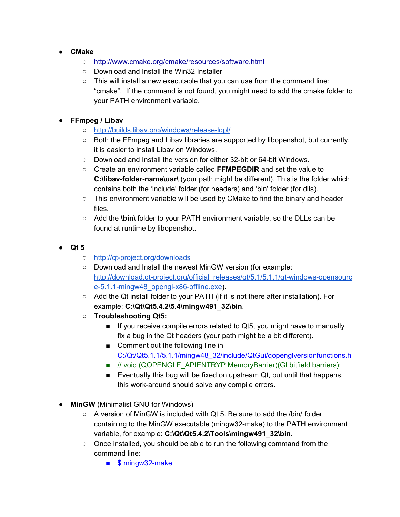- **CMake**
	- <http://www.cmake.org/cmake/resources/software.html>
	- Download and Install the Win32 Installer
	- $\circ$  This will install a new executable that you can use from the command line: "cmake". If the command is not found, you might need to add the cmake folder to your PATH environment variable.

#### ● **FFmpeg / Libav**

- o http://builds.libav.org/windows/release-lgpl/
- Both the FFmpeg and Libav libraries are supported by libopenshot, but currently, it is easier to install Libav on Windows.
- Download and Install the version for either 32-bit or 64-bit Windows.
- Create an environment variable called **FFMPEGDIR**and set the value to **C:\libav-folder-name\usr\** (your path might be different). This is the folder which contains both the 'include' folder (for headers) and 'bin' folder (for dlls).
- $\circ$  This environment variable will be used by CMake to find the binary and header files.
- Add the **\bin\** folder to your PATH environment variable, so the DLLs can be found at runtime by libopenshot.
- **● Qt 5**
	- o http://qt-project.org/downloads
	- Download and Install the newest MinGW version (for example: http://download.qt-project.org/official\_releases/qt/5.1/5.1.1/qt-windows-opensourc e-5.1.1-mingw48\_opengl-x86-offline.exe).
	- Add the Qt install folder to your PATH (if it is not there after installation). For example: **C:\Qt\Qt5.4.2\5.4\mingw491\_32\bin**.
	- **○ Troubleshooting Qt5:**
		- If you receive compile errors related to Qt5, you might have to manually fix a bug in the Qt headers (your path might be a bit different).
		- Comment out the following line in C:/Qt/Qt5.1.1/5.1.1/mingw48\_32/include/QtGui/qopenglversionfunctions.h
		- // void (QOPENGLF\_APIENTRYP MemoryBarrier)(GLbitfield barriers);
		- Eventually this bug will be fixed on upstream Qt, but until that happens, this work-around should solve any compile errors.
- **MinGW**(Minimalist GNU for Windows)
	- $\circ$  A version of MinGW is included with Qt 5. Be sure to add the /bin/ folder containing to the MinGW executable (mingw32-make) to the PATH environment variable, for example: **C:\Qt\Qt5.4.2\Tools\mingw491\_32\bin**.
	- Once installed, you should be able to run the following command from the command line:
		- \$ mingw32-make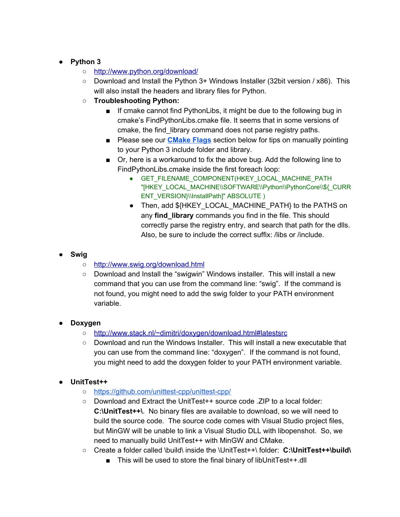#### ● **Python 3**

- <http://www.python.org/download/>
- $\circ$  Download and Install the Python 3+ Windows Installer (32bit version / x86). This will also install the headers and library files for Python.
- **○ Troubleshooting Python:**
	- If cmake cannot find PythonLibs, it might be due to the following bug in cmake's FindPythonLibs.cmake file. It seems that in some versions of cmake, the find\_library command does not parse registry paths.
	- Please see our **[CMake](#page-19-0) Flags** section below for tips on manually pointing to your Python 3 include folder and library.
	- Or, here is a workaround to fix the above bug. Add the following line to FindPythonLibs.cmake inside the first foreach loop:
		- GET FILENAME COMPONENT(HKEY LOCAL MACHINE PATH "[HKEY\_LOCAL\_MACHINE\\SOFTWARE\\Python\\PythonCore\\\${\_CURR ENT\_VERSION}\\InstallPath]" ABSOLUTE )
		- Then, add \${HKEY\_LOCAL\_MACHINE\_PATH} to the PATHS on any **find\_library** commands you find in the file. This should correctly parse the registry entry, and search that path for the dlls. Also, be sure to include the correct suffix: /libs or /include.

#### ● **Swig**

- <http://www.swig.org/download.html>
- Download and Install the "swigwin" Windows installer. This will install a new command that you can use from the command line: "swig". If the command is not found, you might need to add the swig folder to your PATH environment variable.

#### ● **Doxygen**

- <http://www.stack.nl/~dimitri/doxygen/download.html#latestsrc>
- $\circ$  Download and run the Windows Installer. This will install a new executable that you can use from the command line: "doxygen". If the command is not found, you might need to add the doxygen folder to your PATH environment variable.

#### ● **UnitTest++**

- o https://github.com/unittest-cpp/unittest-cpp/
- Download and Extract the UnitTest++ source code .ZIP to a local folder: **C:\UnitTest++\**. No binary files are available to download, so we will need to build the source code. The source code comes with Visual Studio project files, but MinGW will be unable to link a Visual Studio DLL with libopenshot. So, we need to manually build UnitTest++ with MinGW and CMake.
- Create a folder called \build\ inside the \UnitTest++\ folder: **C:\UnitTest++\build\**
	- This will be used to store the final binary of libUnitTest++.dll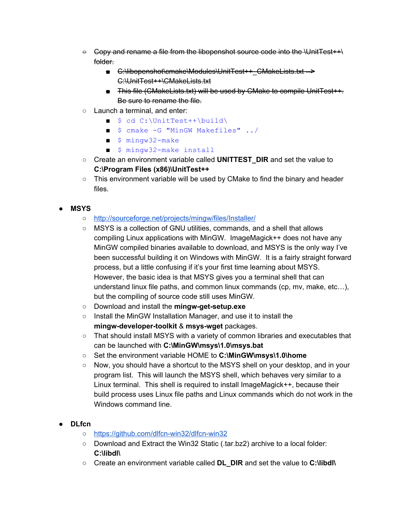- $\Theta$  Copy and rename a file from the libopenshot source code into the \UnitTest++\ folder.
	- C:\libopenshot\cmake\Modules\UnitTest++\_CMakeLists.txt **>** C:\UnitTest++\CMakeLists.txt
	- This file (CMakeLists.txt) will be used by CMake to compile UnitTest++. Be sure to rename the file.
- Launch a terminal, and enter:
	- \$ cd C:\UnitTest++\build\
	- \$ cmake -G "MinGW Makefiles" ../
	- \$ mingw32-make
	- \$ mingw32-make install
- Create an environment variable called **UNITTEST DIR** and set the value to **C:\Program Files (x86)\UnitTest++**
- This environment variable will be used by CMake to find the binary and header files.

#### ● **MSYS**

- <http://sourceforge.net/projects/mingw/files/Installer/>
- MSYS is a collection of GNU utilities, commands, and a shell that allows compiling Linux applications with MinGW. ImageMagick++ does not have any MinGW compiled binaries available to download, and MSYS is the only way I've been successful building it on Windows with MinGW. It is a fairly straight forward process, but a little confusing if it's your first time learning about MSYS. However, the basic idea is that MSYS gives you a terminal shell that can understand linux file paths, and common linux commands (cp, mv, make, etc…), but the compiling of source code still uses MinGW.
- o Download and install the **mingw-get-setup.exe**
- Install the MinGW Installation Manager, and use it to install the **mingw-developer-toolkit & msys-wget packages.**
- That should install MSYS with a variety of common libraries and executables that can be launched with **C:\MinGW\msys\1.0\msys.bat**
- Set the environment variable HOME to **C:\MinGW\msys\1.0\home**
- Now, you should have a shortcut to the MSYS shell on your desktop, and in your program list. This will launch the MSYS shell, which behaves very similar to a Linux terminal. This shell is required to install ImageMagick++, because their build process uses Linux file paths and Linux commands which do not work in the Windows command line.

#### ● **DLfcn**

- https://github.com/dlfcn-win32/dlfcn-win32
- Download and Extract the Win32 Static (.tar.bz2) archive to a local folder: **C:\libdl\**
- Create an environment variable called **DL\_DIR**and set the value to **C:\libdl\**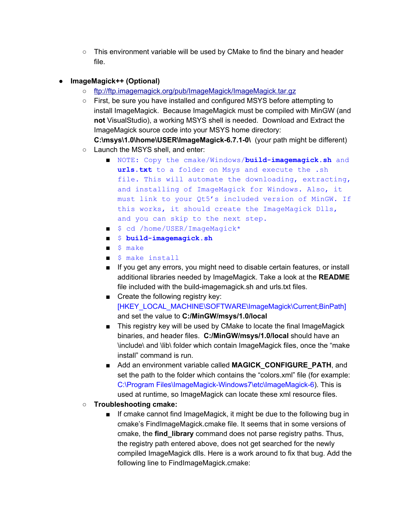$\circ$  This environment variable will be used by CMake to find the binary and header file.

#### ● **ImageMagick++ (Optional)**

- <ftp://ftp.imagemagick.org/pub/ImageMagick/ImageMagick.tar.gz>
- First, be sure you have installed and configured MSYS before attempting to install ImageMagick. Because ImageMagick must be compiled with MinGW (and **not**VisualStudio), a working MSYS shell is needed. Download and Extract the ImageMagick source code into your MSYS home directory:

C:\msys\1.0\home\USER\ImageMagick-6.7.1-0\ (your path might be different) ○ Launch the MSYS shell, and enter:

- **■** NOTE: Copy the cmake/Windows/**build-imagemagick.sh** and **urls.txt**to a folder on Msys and execute the .sh file. This will automate the downloading, extracting, and installing of ImageMagick for Windows. Also, it must link to your Qt5's included version of MinGW. If this works, it should create the ImageMagick Dlls, and you can skip to the next step.
- \$ cd /home/USER/ImageMagick\*
- \$ **build-imagemagick.sh**
- \$ make
- \$ make install
- If you get any errors, you might need to disable certain features, or install additional libraries needed by ImageMagick. Take a look at the **README** file included with the build-imagemagick.sh and urls.txt files.
- Create the following registry key: [HKEY\_LOCAL\_MACHINE\SOFTWARE\ImageMagick\Current;BinPath] and set the value to **C:/MinGW/msys/1.0/local**
- This registry key will be used by CMake to locate the final ImageMagick binaries, and header files. **C:/MinGW/msys/1.0/local** should have an \include\ and \lib\ folder which contain ImageMagick files, once the "make install" command is run.
- Add an environment variable called MAGICK\_CONFIGURE\_PATH, and set the path to the folder which contains the "colors.xml" file (for example: C:\Program Files\ImageMagick-Windows7\etc\ImageMagick-6). This is used at runtime, so ImageMagick can locate these xml resource files.
- **○ Troubleshooting cmake:**
	- If cmake cannot find ImageMagick, it might be due to the following bug in cmake's FindImageMagick.cmake file. It seems that in some versions of cmake, the **find\_library**command does not parse registry paths. Thus, the registry path entered above, does not get searched for the newly compiled ImageMagick dlls. Here is a work around to fix that bug. Add the following line to FindImageMagick.cmake: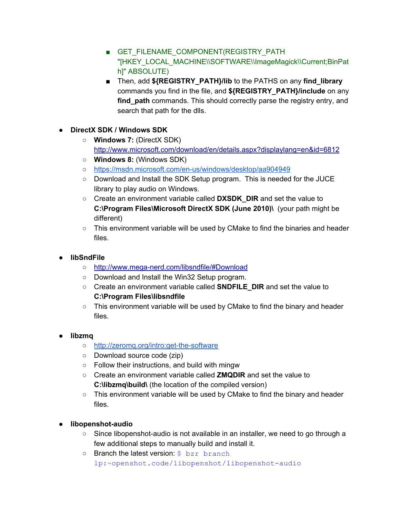- GET FILENAME COMPONENT(REGISTRY PATH "[HKEY\_LOCAL\_MACHINE\\SOFTWARE\\ImageMagick\\Current;BinPat h]" ABSOLUTE)
- Then, add **\${REGISTRY\_PATH}/lib** to the PATHS on any **find\_library** commands you find in the file, and **\${REGISTRY\_PATH}/include** on any **find path** commands. This should correctly parse the registry entry, and search that path for the dlls.
- **DirectX SDK / Windows SDK**
	- **Windows 7:** (DirectX SDK) <http://www.microsoft.com/download/en/details.aspx?displaylang=en&id=6812>
	- **○ Windows 8:** (Windows SDK)
	- o https://msdn.microsoft.com/en-us/windows/desktop/aa904949
	- Download and Install the SDK Setup program. This is needed for the JUCE library to play audio on Windows.
	- Create an environment variable called **DXSDK\_DIR**and set the value to **C:\Program Files\Microsoft DirectX SDK (June 2010)\** (your path might be different)
	- This environment variable will be used by CMake to find the binaries and header files.
- **libSndFile** 
	- http://www.mega-nerd.com/libsndfile/#Download
	- Download and Install the Win32 Setup program.
	- Create an environment variable called **SNDFILE\_DIR**and set the value to **C:\Program Files\libsndfile**
	- $\circ$  This environment variable will be used by CMake to find the binary and header files.
- **libzmq**
	- o http://zeromq.org/intro:get-the-software
	- Download source code (zip)
	- Follow their instructions, and build with mingw
	- Create an environment variable called **ZMQDIR**and set the value to **C:\libzmq\build\** (the location of the compiled version)
	- This environment variable will be used by CMake to find the binary and header files.
- **libopenshotaudio**
	- $\circ$  Since libopenshot-audio is not available in an installer, we need to go through a few additional steps to manually build and install it.
	- o Branch the latest version: \$ bzr branch lp:~openshot.code/libopenshot/libopenshot-audio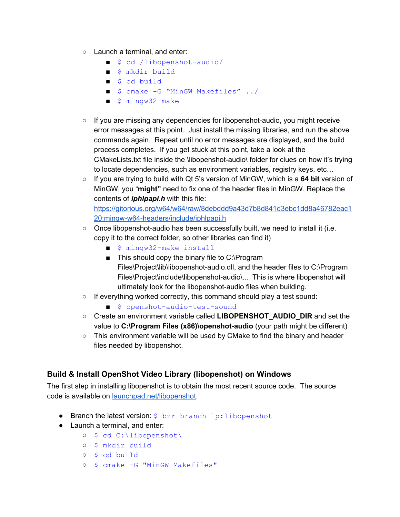- Launch a terminal, and enter:
	- $\blacksquare$  \$ cd /libopenshot-audio/
	- \$ mkdir build
	- \$ cd build
	- \$ cmake -G "MinGW Makefiles" ../
	- $\blacksquare$  \$ mingw32-make
- $\circ$  If you are missing any dependencies for libopenshot-audio, you might receive error messages at this point. Just install the missing libraries, and run the above commands again. Repeat until no error messages are displayed, and the build process completes. If you get stuck at this point, take a look at the CMakeLists.txt file inside the \libopenshot-audio\ folder for clues on how it's trying to locate dependencies, such as environment variables, registry keys, etc…
- If you are trying to build with Qt 5's version of MinGW, which is a **64 bit**version of MinGW, you "**might"**need to fix one of the header files in MinGW. Replace the contents of *iphlpapi.h* with this file:

[https://gitorious.org/w64/w64/raw/8debddd9a43d7b8d841d3ebc1dd8a46782eac1](https://gitorious.org/w64/w64/raw/8debddd9a43d7b8d841d3ebc1dd8a46782eac120:mingw-w64-headers/include/iphlpapi.h) 20:mingw-w64-headers/include/iphlpapi.h

- $\circ$  Once libopenshot-audio has been successfully built, we need to install it (i.e. copy it to the correct folder, so other libraries can find it)
	- \$ mingw32-make install
	- This should copy the binary file to C:\Program Files\Project\lib\libopenshot-audio.dll, and the header files to C:\Program Files\Project\include\libopenshot-audio\... This is where libopenshot will ultimately look for the libopenshot-audio files when building.
- If everything worked correctly, this command should play a test sound:
	- \$ openshot-audio-test-sound
- Create an environment variable called LIBOPENSHOT\_AUDIO\_DIR and set the value to **C:\Program Files (x86)\openshot-audio** (your path might be different)
- $\circ$  This environment variable will be used by CMake to find the binary and header files needed by libopenshot.

#### <span id="page-14-0"></span>**Build & Install OpenShot Video Library (libopenshot) on Windows**

The first step in installing libopenshot is to obtain the most recent source code. The source code is available on [launchpad.net/libopenshot.](https://launchpad.net/libopenshot/)

- **●** Branch the latest version: \$ bzr branch lp:libopenshot
- Launch a terminal, and enter:
	- \$ cd C:\libopenshot\
	- \$ mkdir build
	- \$ cd build
	- o \$ cmake -G "MinGW Makefiles"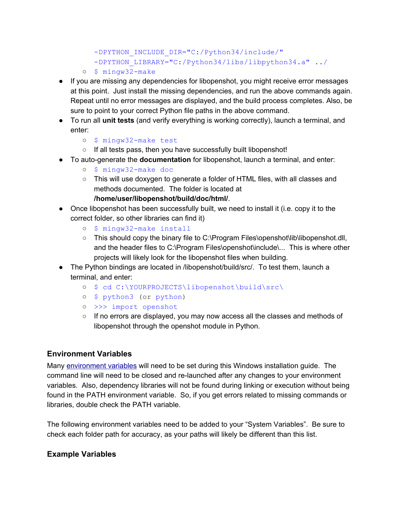-DPYTHON INCLUDE DIR="C:/Python34/include/" -DPYTHON LIBRARY="C:/Python34/libs/libpython34.a" ../

- o \$ mingw32-make
- If you are missing any dependencies for libopenshot, you might receive error messages at this point. Just install the missing dependencies, and run the above commands again. Repeat until no error messages are displayed, and the build process completes. Also, be sure to point to your correct Python file paths in the above command.
- To run all **unit tests**(and verify everything is working correctly), launch a terminal, and enter:
	- o \$ mingw32-make test
- If all tests pass, then you have successfully built libopenshot!
- To auto-generate the **documentation** for libopenshot, launch a terminal, and enter:
	- o \$ mingw32-make doc
	- This will use doxygen to generate a folder of HTML files, with all classes and methods documented. The folder is located at
	- **/home/user/libopenshot/build/doc/html/**.
- Once libopenshot has been successfully built, we need to install it (i.e. copy it to the correct folder, so other libraries can find it)
	- o \$ mingw32-make install
	- This should copy the binary file to C:\Program Files\openshot\lib\libopenshot.dll, and the header files to C:\Program Files\openshot\include\... This is where other projects will likely look for the libopenshot files when building.
- The Python bindings are located in /libopenshot/build/src/. To test them, launch a terminal, and enter:
	- \$ cd C:\YOURPROJECTS\libopenshot\build\src\
	- \$ python3 (or python)
	- >>> import openshot
	- $\circ$  If no errors are displayed, you may now access all the classes and methods of libopenshot through the openshot module in Python.

#### <span id="page-15-0"></span>**Environment Variables**

Many [environment](http://en.wikipedia.org/wiki/Environment_variable) variables will need to be set during this Windows installation guide. The command line will need to be closed and re-launched after any changes to your environment variables. Also, dependency libraries will not be found during linking or execution without being found in the PATH environment variable. So, if you get errors related to missing commands or libraries, double check the PATH variable.

The following environment variables need to be added to your "System Variables". Be sure to check each folder path for accuracy, as your paths will likely be different than this list.

#### **Example Variables**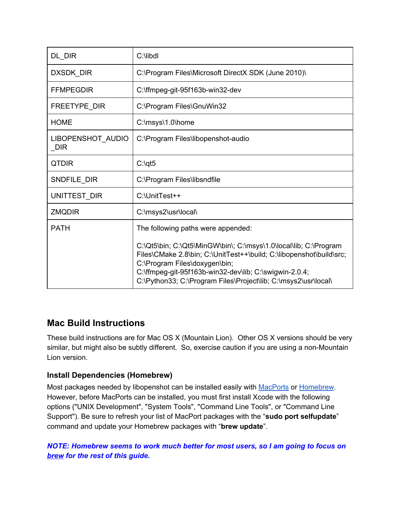| DL_DIR                   | C:\libdl                                                                                                                                                                                                                                                                                                                                   |
|--------------------------|--------------------------------------------------------------------------------------------------------------------------------------------------------------------------------------------------------------------------------------------------------------------------------------------------------------------------------------------|
| DXSDK_DIR                | C:\Program Files\Microsoft DirectX SDK (June 2010)\                                                                                                                                                                                                                                                                                        |
| <b>FFMPEGDIR</b>         | C:\ffmpeg-git-95f163b-win32-dev                                                                                                                                                                                                                                                                                                            |
| FREETYPE DIR             | C:\Program Files\GnuWin32                                                                                                                                                                                                                                                                                                                  |
| <b>HOME</b>              | C:\msys\1.0\home                                                                                                                                                                                                                                                                                                                           |
| LIBOPENSHOT_AUDIO<br>DIR | C:\Program Files\libopenshot-audio                                                                                                                                                                                                                                                                                                         |
| <b>QTDIR</b>             | $C:\qquad$                                                                                                                                                                                                                                                                                                                                 |
| SNDFILE_DIR              | C:\Program Files\libsndfile                                                                                                                                                                                                                                                                                                                |
| UNITTEST_DIR             | C:\UnitTest++                                                                                                                                                                                                                                                                                                                              |
| <b>ZMQDIR</b>            | C:\msys2\usr\local\                                                                                                                                                                                                                                                                                                                        |
| <b>PATH</b>              | The following paths were appended:<br>C:\Qt5\bin; C:\Qt5\MinGW\bin\; C:\msys\1.0\local\lib; C:\Program<br>Files\CMake 2.8\bin; C:\UnitTest++\build; C:\libopenshot\build\src;<br>C:\Program Files\doxygen\bin;<br>C:\ffmpeg-git-95f163b-win32-dev\lib; C:\swigwin-2.0.4;<br>C:\Python33; C:\Program Files\Project\lib; C:\msys2\usr\local\ |

## <span id="page-16-0"></span>**Mac Build Instructions**

These build instructions are for Mac OS X (Mountain Lion). Other OS X versions should be very similar, but might also be subtly different. So, exercise caution if you are using a non-Mountain Lion version.

#### <span id="page-16-1"></span>**Install Dependencies (Homebrew)**

Most packages needed by libopenshot can be installed easily with [MacPorts](http://www.macports.org/install.php) or [Homebrew.](http://brew.sh/) However, before MacPorts can be installed, you must first install Xcode with the following options ("UNIX Development", "System Tools", "Command Line Tools", or "Command Line Support"). Be sure to refresh your list of MacPort packages with the "**sudo port selfupdate**" command and update your Homebrew packages with "**brew update**".

*NOTE: Homebrew seems to work much better for most users, so I am going to focus on brewfor the rest of this guide.*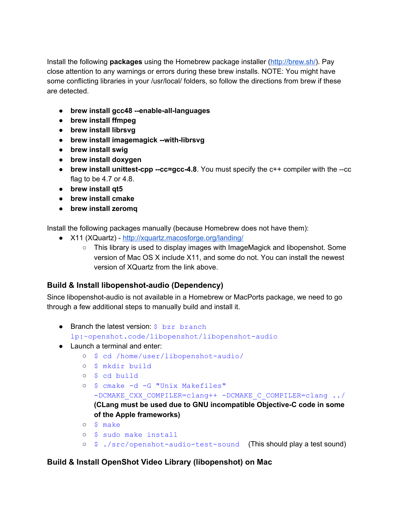Install the following **packages**using the Homebrew package installer [\(http://brew.sh/\)](http://brew.sh/). Pay close attention to any warnings or errors during these brew installs. NOTE: You might have some conflicting libraries in your /usr/local/ folders, so follow the directions from brew if these are detected.

- **brew install gcc48 enablealllanguages**
- **brew install ffmpeg**
- **● brew install librsvg**
- **brew install imagemagick withlibrsvg**
- **brew install swig**
- **● brew install doxygen**
- $\bullet$  **brew install unittest-cpp** -- $cc =$ gcc-4.8. You must specify the  $c++$  compiler with the  $-cc$ flag to be 4.7 or 4.8.
- **brew install qt5**
- **brew install cmake**
- **● brew install zeromq**

Install the following packages manually (because Homebrew does not have them):

- X11 (XQuartz) <http://xquartz.macosforge.org/landing/>
	- This library is used to display images with ImageMagick and libopenshot. Some version of Mac OS X include X11, and some do not. You can install the newest version of XQuartz from the link above.

#### <span id="page-17-0"></span>**Build & Install libopenshot-audio (Dependency)**

Since libopenshot-audio is not available in a Homebrew or MacPorts package, we need to go through a few additional steps to manually build and install it.

- Branch the latest version:  $$$  bzr branch lp:~openshot.code/libopenshot/libopenshot-audio
- Launch a terminal and enter:
	- o \$ cd /home/user/libopenshot-audio/
	- \$ mkdir build
	- \$ cd build
	- o \$ cmake -d -G "Unix Makefiles" -DCMAKE CXX COMPILER=clang++ -DCMAKE C COMPILER=clang ../ **(CLang must be used due to GNU incompatible ObjectiveC code in some of the Apple frameworks)**
	- \$ make
	- \$ sudo make install
	- o  $$./src/openshot-audio-test-sound$  (This should play a test sound)

#### <span id="page-17-1"></span>**Build & Install OpenShot Video Library (libopenshot) on Mac**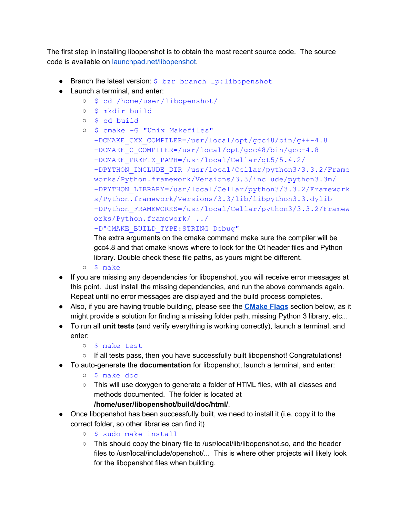The first step in installing libopenshot is to obtain the most recent source code. The source code is available on [launchpad.net/libopenshot.](https://launchpad.net/libopenshot/)

- **●** Branch the latest version: \$ bzr branch lp:libopenshot
- Launch a terminal, and enter:
	- \$ cd /home/user/libopenshot/
	- \$ mkdir build
	- \$ cd build

o \$ cmake -G "Unix Makefiles"

- -DCMAKE CXX COMPILER=/usr/local/opt/gcc48/bin/g++-4.8 -DCMAKE C COMPILER=/usr/local/opt/gcc48/bin/gcc-4.8
	- DCMAKE\_PREFIX\_PATH=/usr/local/Cellar/qt5/5.4.2/
	- -DPYTHON INCLUDE DIR=/usr/local/Cellar/python3/3.3.2/Frame works/Python.framework/Versions/3.3/include/python3.3m/ -DPYTHON LIBRARY=/usr/local/Cellar/python3/3.3.2/Framework s/Python.framework/Versions/3.3/lib/libpython3.3.dylib -DPython FRAMEWORKS=/usr/local/Cellar/python3/3.3.2/Framew orks/Python.framework/ ../

```
-D"CMAKE_BUILD_TYPE:STRING=Debug"
```
The extra arguments on the cmake command make sure the compiler will be gcc4.8 and that cmake knows where to look for the Qt header files and Python library. Double check these file paths, as yours might be different.

- \$ make
- If you are missing any dependencies for libopenshot, you will receive error messages at this point. Just install the missing dependencies, and run the above commands again. Repeat until no error messages are displayed and the build process completes.
- Also, if you are having trouble building, please see the **[CMake](#page-19-0) Flags**section below, as it might provide a solution for finding a missing folder path, missing Python 3 library, etc...
- To run all **unit tests**(and verify everything is working correctly), launch a terminal, and enter:
	- \$ make test
	- If all tests pass, then you have successfully built libopenshot! Congratulations!
- **•** To auto-generate the **documentation** for libopenshot, launch a terminal, and enter:
	- \$ make doc
	- This will use doxygen to generate a folder of HTML files, with all classes and methods documented. The folder is located at

**/home/user/libopenshot/build/doc/html/**.

- Once libopenshot has been successfully built, we need to install it (i.e. copy it to the correct folder, so other libraries can find it)
	- \$ sudo make install
	- This should copy the binary file to /usr/local/lib/libopenshot.so, and the header files to /usr/local/include/openshot/... This is where other projects will likely look for the libopenshot files when building.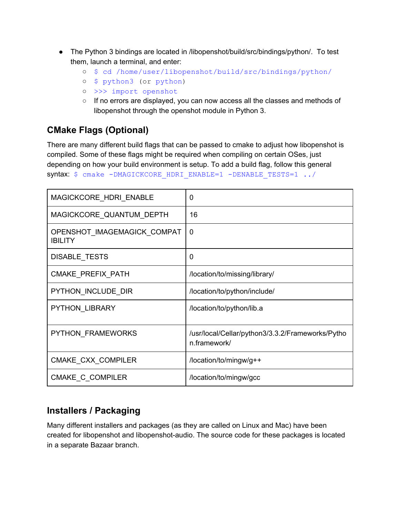- The Python 3 bindings are located in /libopenshot/build/src/bindings/python/. To test them, launch a terminal, and enter:
	- \$ cd /home/user/libopenshot/build/src/bindings/python/
	- \$ python3 (or python)
	- >>> import openshot
	- If no errors are displayed, you can now access all the classes and methods of libopenshot through the openshot module in Python 3.

## <span id="page-19-0"></span>**CMake Flags (Optional)**

There are many different build flags that can be passed to cmake to adjust how libopenshot is compiled. Some of these flags might be required when compiling on certain OSes, just depending on how your build environment is setup. To add a build flag, follow this general syntax: \$ cmake -DMAGICKCORE HDRI ENABLE=1 -DENABLE TESTS=1 ../

| MAGICKCORE_HDRI_ENABLE                        | 0                                                                |
|-----------------------------------------------|------------------------------------------------------------------|
| MAGICKCORE_QUANTUM_DEPTH                      | 16                                                               |
| OPENSHOT_IMAGEMAGICK_COMPAT<br><b>IBILITY</b> | 0                                                                |
| DISABLE_TESTS                                 | 0                                                                |
| CMAKE PREFIX PATH                             | /location/to/missing/library/                                    |
| PYTHON INCLUDE DIR                            | /location/to/python/include/                                     |
| PYTHON LIBRARY                                | /location/to/python/lib.a                                        |
| PYTHON FRAMEWORKS                             | /usr/local/Cellar/python3/3.3.2/Frameworks/Pytho<br>n.framework/ |
| CMAKE_CXX_COMPILER                            | /location/to/mingw/g++                                           |
| CMAKE C COMPILER                              | /location/to/mingw/gcc                                           |

## <span id="page-19-1"></span>**Installers / Packaging**

Many different installers and packages (as they are called on Linux and Mac) have been created for libopenshot and libopenshot-audio. The source code for these packages is located in a separate Bazaar branch.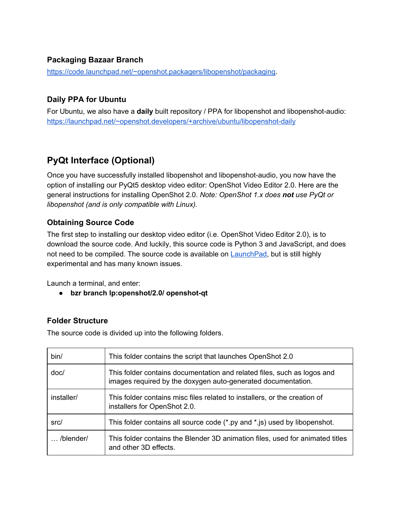#### <span id="page-20-0"></span>**Packaging Bazaar Branch**

[https://code.launchpad.net/~openshot.packagers/libopenshot/packaging.](https://code.launchpad.net/~openshot.packagers/libopenshot/packaging)

#### <span id="page-20-1"></span>**Daily PPA for Ubuntu**

For Ubuntu, we also have a **daily** built repository / PPA for libopenshot and libopenshot-audio: https://launchpad.net/~openshot.developers/+archive/ubuntu/libopenshot-daily

## <span id="page-20-2"></span>**PyQt Interface (Optional)**

Once you have successfully installed libopenshot and libopenshot-audio, you now have the option of installing our PyQt5 desktop video editor: OpenShot Video Editor 2.0. Here are the general instructions for installing OpenShot 2.0. *Note: OpenShot 1.x does notuse PyQt or libopenshot (and is only compatible with Linux).*

#### <span id="page-20-3"></span>**Obtaining Source Code**

The first step to installing our desktop video editor (i.e. OpenShot Video Editor 2.0), is to download the source code. And luckily, this source code is Python 3 and JavaScript, and does not need to be compiled. The source code is available on **LaunchPad**, but is still highly experimental and has many known issues.

Launch a terminal, and enter:

**• bzr** branch **lp:openshot/2.0/ openshot-qt** 

#### <span id="page-20-4"></span>**Folder Structure**

The source code is divided up into the following folders.

| bin/               | This folder contains the script that launches OpenShot 2.0                                                                              |
|--------------------|-----------------------------------------------------------------------------------------------------------------------------------------|
| doc/               | This folder contains documentation and related files, such as logos and<br>images required by the doxygen auto-generated documentation. |
| installer/         | This folder contains misc files related to installers, or the creation of<br>installers for OpenShot 2.0.                               |
| src/               | This folder contains all source code (*.py and *.js) used by libopenshot.                                                               |
| $\ldots$ /blender/ | This folder contains the Blender 3D animation files, used for animated titles<br>and other 3D effects.                                  |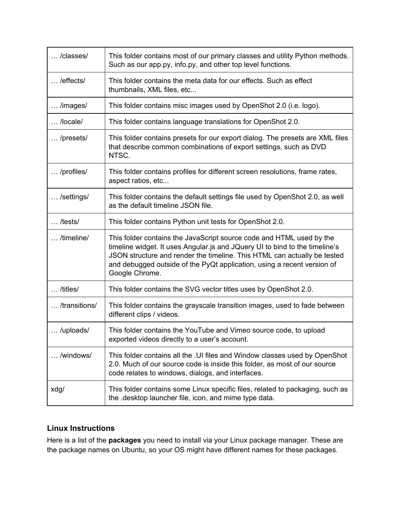| /classes/         | This folder contains most of our primary classes and utility Python methods.<br>Such as our app.py, info.py, and other top level functions.                                                                                                                                                                                  |
|-------------------|------------------------------------------------------------------------------------------------------------------------------------------------------------------------------------------------------------------------------------------------------------------------------------------------------------------------------|
| /effects/         | This folder contains the meta data for our effects. Such as effect<br>thumbnails, XML files, etc                                                                                                                                                                                                                             |
| /images/          | This folder contains misc images used by OpenShot 2.0 (i.e. logo).                                                                                                                                                                                                                                                           |
| /locale/          | This folder contains language translations for OpenShot 2.0.                                                                                                                                                                                                                                                                 |
| /presets/         | This folder contains presets for our export dialog. The presets are XML files<br>that describe common combinations of export settings, such as DVD<br>NTSC.                                                                                                                                                                  |
| /profiles/        | This folder contains profiles for different screen resolutions, frame rates,<br>aspect ratios, etc                                                                                                                                                                                                                           |
| /settings/        | This folder contains the default settings file used by OpenShot 2.0, as well<br>as the default timeline JSON file.                                                                                                                                                                                                           |
| $\ldots$ /tests/  | This folder contains Python unit tests for OpenShot 2.0.                                                                                                                                                                                                                                                                     |
| /timeline/        | This folder contains the JavaScript source code and HTML used by the<br>timeline widget. It uses Angular is and JQuery UI to bind to the timeline's<br>JSON structure and render the timeline. This HTML can actually be tested<br>and debugged outside of the PyQt application, using a recent version of<br>Google Chrome. |
| $\ldots$ /titles/ | This folder contains the SVG vector titles uses by OpenShot 2.0.                                                                                                                                                                                                                                                             |
| /transitions/     | This folder contains the grayscale transition images, used to fade between<br>different clips / videos.                                                                                                                                                                                                                      |
| /uploads/         | This folder contains the YouTube and Vimeo source code, to upload<br>exported videos directly to a user's account.                                                                                                                                                                                                           |
| /windows/         | This folder contains all the . UI files and Window classes used by OpenShot<br>2.0. Much of our source code is inside this folder, as most of our source<br>code relates to windows, dialogs, and interfaces.                                                                                                                |
| xdg/              | This folder contains some Linux specific files, related to packaging, such as<br>the desktop launcher file, icon, and mime type data.                                                                                                                                                                                        |

#### <span id="page-21-0"></span>**Linux Instructions**

Here is a list of the **packages**you need to install via your Linux package manager. These are the package names on Ubuntu, so your OS might have different names for these packages.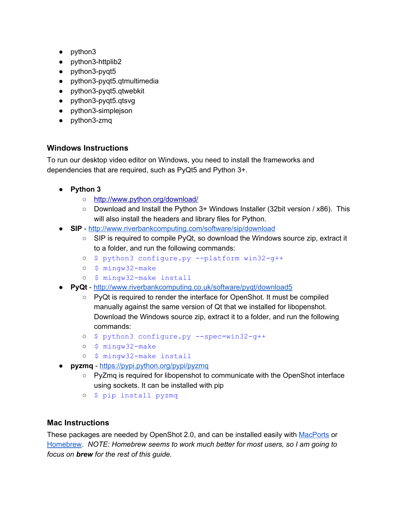- python3
- $\bullet$  python3-httplib2
- $\bullet$  python3-pyqt5
- python3-pyqt5.qtmultimedia
- $\bullet$  python3-pyqt5.qtwebkit
- python3-pyqt5.qtsvg
- python3-simplejson
- python3-zmq

#### <span id="page-22-0"></span>**Windows Instructions**

To run our desktop video editor on Windows, you need to install the frameworks and dependencies that are required, such as PyQt5 and Python 3+.

- **Python 3**
	- <http://www.python.org/download/>
	- Download and Install the Python 3+ Windows Installer (32bit version / x86). This will also install the headers and library files for Python.
- **SIP** <http://www.riverbankcomputing.com/software/sip/download>
	- $\circ$  SIP is required to compile PyQt, so download the Windows source zip, extract it to a folder, and run the following commands:
	- $o$  \$ python3 configure.py --platform win32-q++
	- o \$ mingw32-make
	- o \$ mingw32-make install
- **PyQt** <http://www.riverbankcomputing.co.uk/software/pyqt/download5>
	- PyQt is required to render the interface for OpenShot. It must be compiled manually against the same version of Qt that we installed for libopenshot. Download the Windows source zip, extract it to a folder, and run the following commands:
	- $o$  \$ python3 configure.py  $--spec=win32-q++$
	- o \$ mingw32-make
	- o \$ mingw32-make install
- **pyzmq** <https://pypi.python.org/pypi/pyzmq>
	- PyZmq is required for libopenshot to communicate with the OpenShot interface using sockets. It can be installed with pip
	- \$ pip install pyzmq

#### <span id="page-22-1"></span>**Mac Instructions**

These packages are needed by OpenShot 2.0, and can be installed easily with [MacPorts](http://www.macports.org/install.php) or [Homebrew](http://brew.sh/). *NOTE: Homebrew seems to work much better for most users, so I am going to focus on brewfor the rest of this guide.*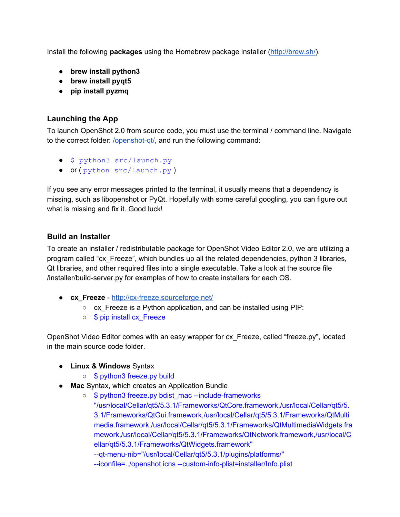Install the following **packages**using the Homebrew package installer [\(http://brew.sh/\)](http://brew.sh/).

- **brew install python3**
- **brew install pyqt5**
- **● pip install pyzmq**

#### <span id="page-23-0"></span>**Launching the App**

To launch OpenShot 2.0 from source code, you must use the terminal / command line. Navigate to the correct folder: /openshot-qt/, and run the following command:

- \$ python3 src/launch.py
- or ( python src/launch.py)

If you see any error messages printed to the terminal, it usually means that a dependency is missing, such as libopenshot or PyQt. Hopefully with some careful googling, you can figure out what is missing and fix it. Good luck!

#### <span id="page-23-1"></span>**Build an Installer**

To create an installer / redistributable package for OpenShot Video Editor 2.0, we are utilizing a program called "cx\_Freeze", which bundles up all the related dependencies, python 3 libraries, Qt libraries, and other required files into a single executable. Take a look at the source file /installer/build-server.py for examples of how to create installers for each OS.

- **e cx Freeze** http://cx-freeze.sourceforge.net/
	- cx\_Freeze is a Python application, and can be installed using PIP:
	- \$ pip install cx\_Freeze

OpenShot Video Editor comes with an easy wrapper for cx\_Freeze, called "freeze.py", located in the main source code folder.

- **● Linux & Windows** Syntax
	- \$ python3 freeze.py build
- **Mac** Syntax, which creates an Application Bundle
	- \$ python3 freeze.py bdist\_mac --include-frameworks "/usr/local/Cellar/qt5/5.3.1/Frameworks/QtCore.framework,/usr/local/Cellar/qt5/5. 3.1/Frameworks/QtGui.framework,/usr/local/Cellar/qt5/5.3.1/Frameworks/QtMulti media.framework,/usr/local/Cellar/qt5/5.3.1/Frameworks/QtMultimediaWidgets.fra mework,/usr/local/Cellar/qt5/5.3.1/Frameworks/QtNetwork.framework,/usr/local/C ellar/qt5/5.3.1/Frameworks/QtWidgets.framework"

--qt-menu-nib="/usr/local/Cellar/qt5/5.3.1/plugins/platforms/"

--iconfile=../openshot.icns --custom-info-plist=installer/Info.plist